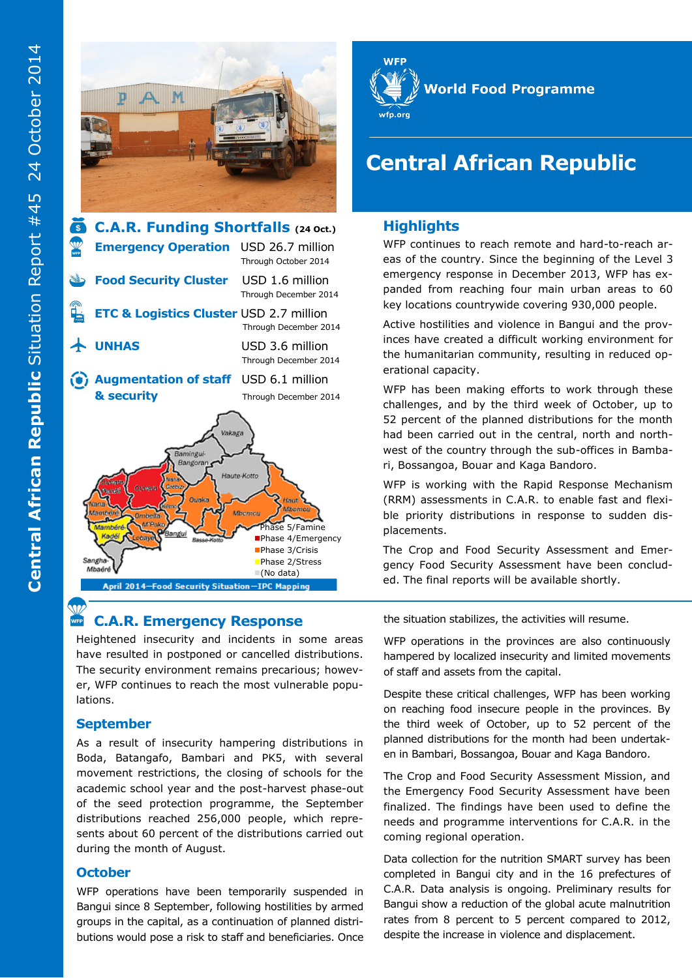



#### **SVZ C.A.R. Emergency Response**

Heightened insecurity and incidents in some areas have resulted in postponed or cancelled distributions. The security environment remains precarious; however, WFP continues to reach the most vulnerable populations.

## **September**

As a result of insecurity hampering distributions in Boda, Batangafo, Bambari and PK5, with several movement restrictions, the closing of schools for the academic school year and the post-harvest phase-out of the seed protection programme, the September distributions reached 256,000 people, which represents about 60 percent of the distributions carried out during the month of August.

#### **October**

WFP operations have been temporarily suspended in Bangui since 8 September, following hostilities by armed groups in the capital, as a continuation of planned distributions would pose a risk to staff and beneficiaries. Once



# **Central African Republic**

## **Highlights**

WFP continues to reach remote and hard-to-reach areas of the country. Since the beginning of the Level 3 emergency response in December 2013, WFP has expanded from reaching four main urban areas to 60 key locations countrywide covering 930,000 people.

Active hostilities and violence in Bangui and the provinces have created a difficult working environment for the humanitarian community, resulting in reduced operational capacity.

WFP has been making efforts to work through these challenges, and by the third week of October, up to 52 percent of the planned distributions for the month had been carried out in the central, north and northwest of the country through the sub-offices in Bambari, Bossangoa, Bouar and Kaga Bandoro.

WFP is working with the Rapid Response Mechanism (RRM) assessments in C.A.R. to enable fast and flexible priority distributions in response to sudden displacements.

The Crop and Food Security Assessment and Emergency Food Security Assessment have been concluded. The final reports will be available shortly.

the situation stabilizes, the activities will resume.

WFP operations in the provinces are also continuously hampered by localized insecurity and limited movements of staff and assets from the capital.

Despite these critical challenges, WFP has been working on reaching food insecure people in the provinces. By the third week of October, up to 52 percent of the planned distributions for the month had been undertaken in Bambari, Bossangoa, Bouar and Kaga Bandoro.

The Crop and Food Security Assessment Mission, and the Emergency Food Security Assessment have been finalized. The findings have been used to define the needs and programme interventions for C.A.R. in the coming regional operation.

Data collection for the nutrition SMART survey has been completed in Bangui city and in the 16 prefectures of C.A.R. Data analysis is ongoing. Preliminary results for Bangui show a reduction of the global acute malnutrition rates from 8 percent to 5 percent compared to 2012, despite the increase in violence and displacement.